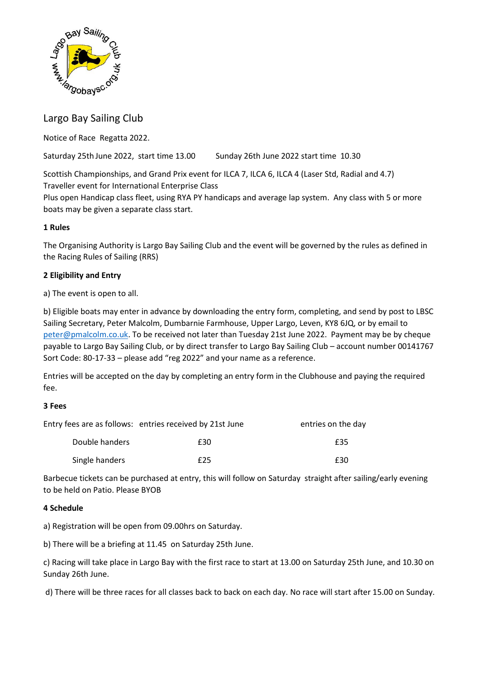

# Largo Bay Sailing Club

Notice of Race Regatta 2022.

Saturday 25th June 2022, start time 13.00 Sunday 26th June 2022 start time 10.30

Scottish Championships, and Grand Prix event for ILCA 7, ILCA 6, ILCA 4 (Laser Std, Radial and 4.7) Traveller event for International Enterprise Class

Plus open Handicap class fleet, using RYA PY handicaps and average lap system. Any class with 5 or more boats may be given a separate class start.

# **1 Rules**

The Organising Authority is Largo Bay Sailing Club and the event will be governed by the rules as defined in the Racing Rules of Sailing (RRS)

# **2 Eligibility and Entry**

a) The event is open to all.

b) Eligible boats may enter in advance by downloading the entry form, completing, and send by post to LBSC Sailing Secretary, Peter Malcolm, Dumbarnie Farmhouse, Upper Largo, Leven, KY8 6JQ, or by email to [peter@pmalcolm.co.uk.](mailto:peter@pmalcolm.co.uk) To be received not later than Tuesday 21st June 2022. Payment may be by cheque payable to Largo Bay Sailing Club, or by direct transfer to Largo Bay Sailing Club – account number 00141767 Sort Code: 80-17-33 – please add "reg 2022" and your name as a reference.

Entries will be accepted on the day by completing an entry form in the Clubhouse and paying the required fee.

## **3 Fees**

|                | Entry fees are as follows: entries received by 21st June | entries on the day |
|----------------|----------------------------------------------------------|--------------------|
| Double handers | £30                                                      | £35                |
| Single handers | f25                                                      | £30                |

Barbecue tickets can be purchased at entry, this will follow on Saturday straight after sailing/early evening to be held on Patio. Please BYOB

## **4 Schedule**

a) Registration will be open from 09.00hrs on Saturday.

b) There will be a briefing at 11.45 on Saturday 25th June.

c) Racing will take place in Largo Bay with the first race to start at 13.00 on Saturday 25th June, and 10.30 on Sunday 26th June.

d) There will be three races for all classes back to back on each day. No race will start after 15.00 on Sunday.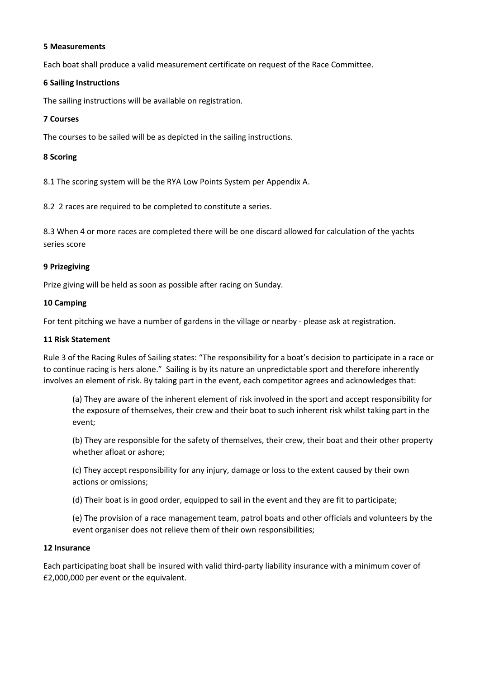#### **5 Measurements**

Each boat shall produce a valid measurement certificate on request of the Race Committee.

#### **6 Sailing Instructions**

The sailing instructions will be available on registration.

#### **7 Courses**

The courses to be sailed will be as depicted in the sailing instructions.

#### **8 Scoring**

8.1 The scoring system will be the RYA Low Points System per Appendix A.

8.2 2 races are required to be completed to constitute a series.

8.3 When 4 or more races are completed there will be one discard allowed for calculation of the yachts series score

#### **9 Prizegiving**

Prize giving will be held as soon as possible after racing on Sunday.

#### **10 Camping**

For tent pitching we have a number of gardens in the village or nearby - please ask at registration.

#### **11 Risk Statement**

Rule 3 of the Racing Rules of Sailing states: "The responsibility for a boat's decision to participate in a race or to continue racing is hers alone." Sailing is by its nature an unpredictable sport and therefore inherently involves an element of risk. By taking part in the event, each competitor agrees and acknowledges that:

(a) They are aware of the inherent element of risk involved in the sport and accept responsibility for the exposure of themselves, their crew and their boat to such inherent risk whilst taking part in the event;

(b) They are responsible for the safety of themselves, their crew, their boat and their other property whether afloat or ashore;

(c) They accept responsibility for any injury, damage or loss to the extent caused by their own actions or omissions;

(d) Their boat is in good order, equipped to sail in the event and they are fit to participate;

(e) The provision of a race management team, patrol boats and other officials and volunteers by the event organiser does not relieve them of their own responsibilities;

#### **12 Insurance**

Each participating boat shall be insured with valid third-party liability insurance with a minimum cover of £2,000,000 per event or the equivalent.